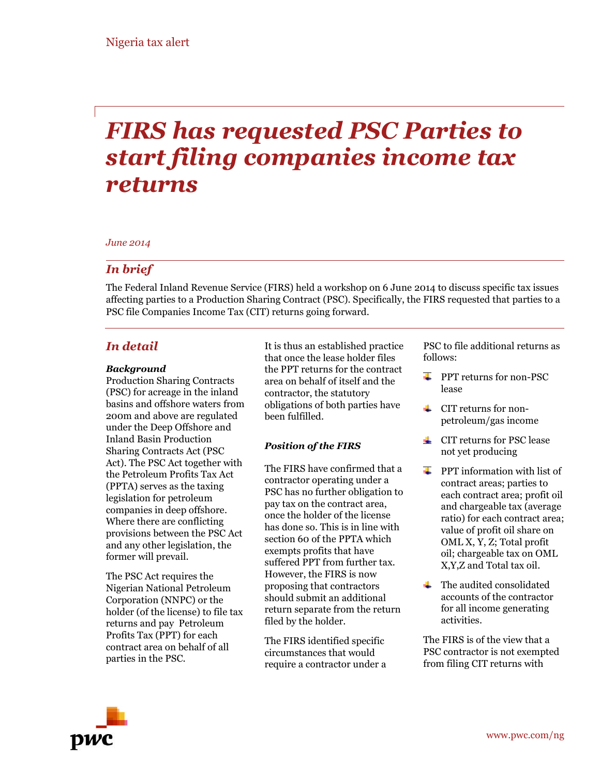# *FIRS has requested PSC Parties to start filing companies income tax returns*

#### *June 2014*

#### *In brief*

The Federal Inland Revenue Service (FIRS) held a workshop on 6 June 2014 to discuss specific tax issues affecting parties to a Production Sharing Contract (PSC). Specifically, the FIRS requested that parties to a PSC file Companies Income Tax (CIT) returns going forward.

#### *In detail*

#### *Background*

Production Sharing Contracts (PSC) for acreage in the inland basins and offshore waters from 200m and above are regulated under the Deep Offshore and Inland Basin Production Sharing Contracts Act (PSC Act). The PSC Act together with the Petroleum Profits Tax Act (PPTA) serves as the taxing legislation for petroleum companies in deep offshore. Where there are conflicting provisions between the PSC Act and any other legislation, the former will prevail.

The PSC Act requires the Nigerian National Petroleum Corporation (NNPC) or the holder (of the license) to file tax returns and pay Petroleum Profits Tax (PPT) for each contract area on behalf of all parties in the PSC.

It is thus an established practice that once the lease holder files the PPT returns for the contract area on behalf of itself and the contractor, the statutory obligations of both parties have been fulfilled.

#### *Position of the FIRS*

The FIRS have confirmed that a contractor operating under a PSC has no further obligation to pay tax on the contract area, once the holder of the license has done so. This is in line with section 60 of the PPTA which exempts profits that have suffered PPT from further tax. However, the FIRS is now proposing that contractors should submit an additional return separate from the return filed by the holder.

The FIRS identified specific circumstances that would require a contractor under a PSC to file additional returns as follows:

- PPT returns for non-PSC lease
- CIT returns for nonpetroleum/gas income
- $\triangleq$  CIT returns for PSC lease not yet producing
- $\triangleq$  PPT information with list of contract areas; parties to each contract area; profit oil and chargeable tax (average ratio) for each contract area; value of profit oil share on OML X, Y, Z; Total profit oil; chargeable tax on OML X,Y,Z and Total tax oil.
- $\leftarrow$  The audited consolidated accounts of the contractor for all income generating activities.

The FIRS is of the view that a PSC contractor is not exempted from filing CIT returns with

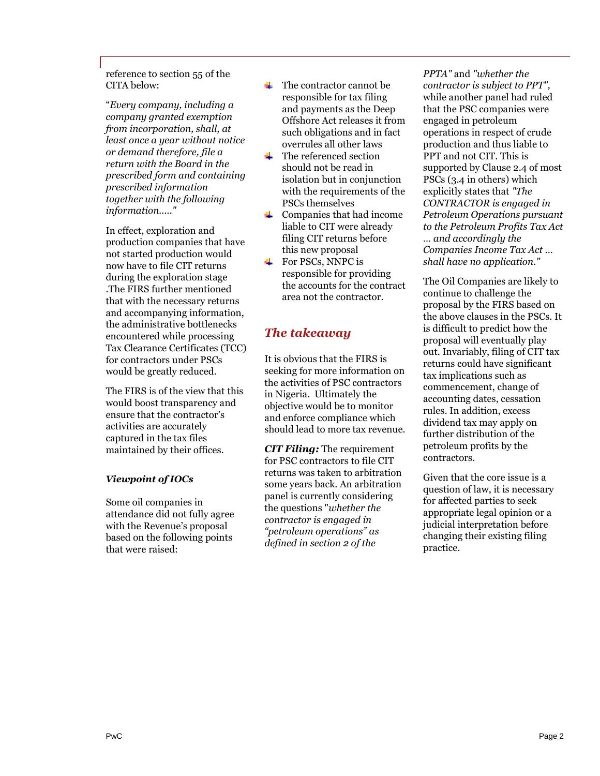reference to section 55 of the CITA below:

"*Every company, including a company granted exemption from incorporation, shall, at least once a year without notice or demand therefore, file a return with the Board in the prescribed form and containing prescribed information together with the following information....."*

In effect, exploration and production companies that have not started production would now have to file CIT returns during the exploration stage .The FIRS further mentioned that with the necessary returns and accompanying information, the administrative bottlenecks encountered while processing Tax Clearance Certificates (TCC) for contractors under PSCs would be greatly reduced.

The FIRS is of the view that this would boost transparency and ensure that the contractor's activities are accurately captured in the tax files maintained by their offices.

#### *Viewpoint of IOCs*

Some oil companies in attendance did not fully agree with the Revenue's proposal based on the following points that were raised:

- $\leftarrow$  The contractor cannot be responsible for tax filing and payments as the Deep Offshore Act releases it from such obligations and in fact overrules all other laws
- ₩., The referenced section should not be read in isolation but in conjunction with the requirements of the PSCs themselves
- $\leftarrow$  Companies that had income liable to CIT were already filing CIT returns before this new proposal
- $\overline{\text{For PSCs, NNPC is}}$ responsible for providing the accounts for the contract area not the contractor.

## *The takeaway*

It is obvious that the FIRS is seeking for more information on the activities of PSC contractors in Nigeria. Ultimately the objective would be to monitor and enforce compliance which should lead to more tax revenue.

*CIT Filing:* The requirement for PSC contractors to file CIT returns was taken to arbitration some years back. An arbitration panel is currently considering the questions "*whether the contractor is engaged in "petroleum operations" as defined in section 2 of the*

*PPTA"* and *"whether the contractor is subject to PPT",* while another panel had ruled that the PSC companies were engaged in petroleum operations in respect of crude production and thus liable to PPT and not CIT. This is supported by Clause 2.4 of most PSCs (3.4 in others) which explicitly states that *"The CONTRACTOR is engaged in Petroleum Operations pursuant to the Petroleum Profits Tax Act … and accordingly the Companies Income Tax Act … shall have no application."*

The Oil Companies are likely to continue to challenge the proposal by the FIRS based on the above clauses in the PSCs. It is difficult to predict how the proposal will eventually play out. Invariably, filing of CIT tax returns could have significant tax implications such as commencement, change of accounting dates, cessation rules. In addition, excess dividend tax may apply on further distribution of the petroleum profits by the contractors.

Given that the core issue is a question of law, it is necessary for affected parties to seek appropriate legal opinion or a judicial interpretation before changing their existing filing practice.